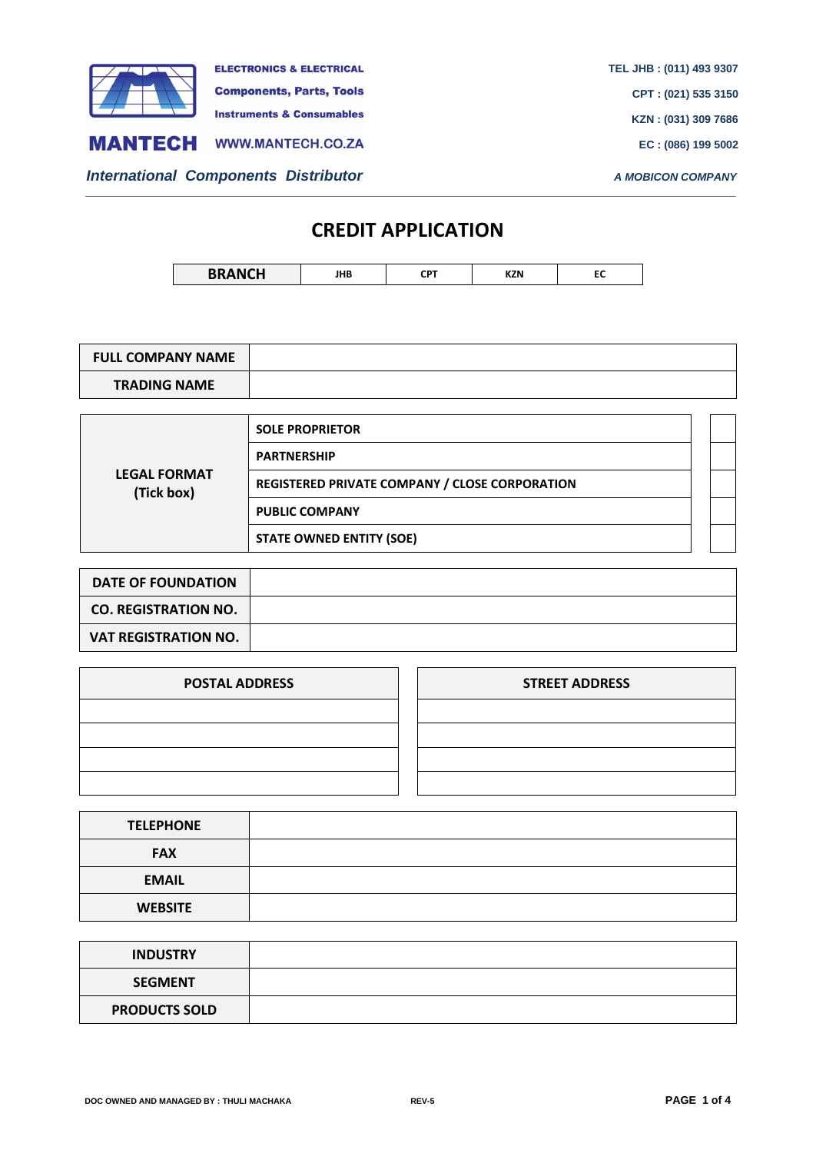

## **CREDIT APPLICATION**

*\_\_\_\_\_\_\_\_\_\_\_\_\_\_\_\_\_\_\_\_\_\_\_\_\_\_\_\_\_\_\_\_\_\_\_\_\_\_\_\_\_\_\_\_\_\_\_\_\_\_\_\_\_\_\_\_\_\_\_\_\_\_\_\_\_\_\_\_\_\_\_\_\_\_\_\_\_\_\_\_\_\_\_\_\_\_\_\_\_\_\_\_\_\_\_*

| <b>BRANCH</b> | JHB | דס־<br>ыπ | <b>KZN</b> | . . |
|---------------|-----|-----------|------------|-----|
|---------------|-----|-----------|------------|-----|

| <b>FULL COMPANY NAME</b> |  |
|--------------------------|--|
| <b>TRADING NAME</b>      |  |

| <b>LEGAL FORMAT</b><br>(Tick box) | <b>SOLE PROPRIETOR</b>                                |  |
|-----------------------------------|-------------------------------------------------------|--|
|                                   | <b>PARTNERSHIP</b>                                    |  |
|                                   | <b>REGISTERED PRIVATE COMPANY / CLOSE CORPORATION</b> |  |
|                                   | <b>PUBLIC COMPANY</b>                                 |  |
|                                   | <b>STATE OWNED ENTITY (SOE)</b>                       |  |

| <b>DATE OF FOUNDATION</b>   |  |
|-----------------------------|--|
| <b>CO. REGISTRATION NO.</b> |  |
| <b>VAT REGISTRATION NO.</b> |  |

| <b>POSTAL ADDRESS</b> | <b>STREET ADDRESS</b> |
|-----------------------|-----------------------|
|                       |                       |
|                       |                       |
|                       |                       |
|                       |                       |

| <b>TELEPHONE</b> |  |
|------------------|--|
| <b>FAX</b>       |  |
| <b>EMAIL</b>     |  |
| <b>WEBSITE</b>   |  |

| <b>INDUSTRY</b>      |  |
|----------------------|--|
| <b>SEGMENT</b>       |  |
| <b>PRODUCTS SOLD</b> |  |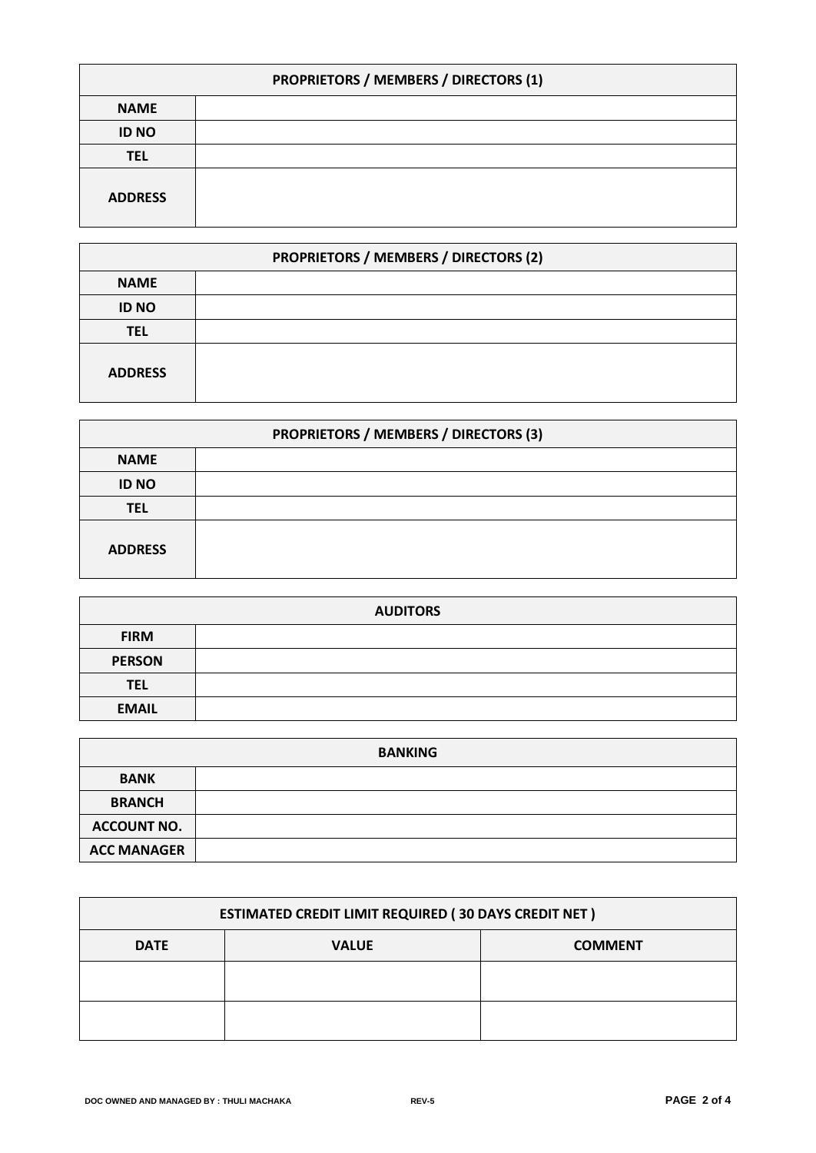| PROPRIETORS / MEMBERS / DIRECTORS (1) |  |  |
|---------------------------------------|--|--|
| <b>NAME</b>                           |  |  |
| <b>ID NO</b>                          |  |  |
| <b>TEL</b>                            |  |  |
| <b>ADDRESS</b>                        |  |  |

| PROPRIETORS / MEMBERS / DIRECTORS (2) |  |  |
|---------------------------------------|--|--|
| <b>NAME</b>                           |  |  |
| <b>ID NO</b>                          |  |  |
| <b>TEL</b>                            |  |  |
| <b>ADDRESS</b>                        |  |  |

| PROPRIETORS / MEMBERS / DIRECTORS (3) |  |  |
|---------------------------------------|--|--|
| <b>NAME</b>                           |  |  |
| <b>ID NO</b>                          |  |  |
| <b>TEL</b>                            |  |  |
| <b>ADDRESS</b>                        |  |  |

| <b>AUDITORS</b> |  |  |
|-----------------|--|--|
| <b>FIRM</b>     |  |  |
| <b>PERSON</b>   |  |  |
| <b>TEL</b>      |  |  |
| <b>EMAIL</b>    |  |  |

| <b>BANKING</b>     |  |  |
|--------------------|--|--|
| <b>BANK</b>        |  |  |
| <b>BRANCH</b>      |  |  |
| <b>ACCOUNT NO.</b> |  |  |
| <b>ACC MANAGER</b> |  |  |

| <b>ESTIMATED CREDIT LIMIT REQUIRED (30 DAYS CREDIT NET)</b> |              |                |  |
|-------------------------------------------------------------|--------------|----------------|--|
| <b>DATE</b>                                                 | <b>VALUE</b> | <b>COMMENT</b> |  |
|                                                             |              |                |  |
|                                                             |              |                |  |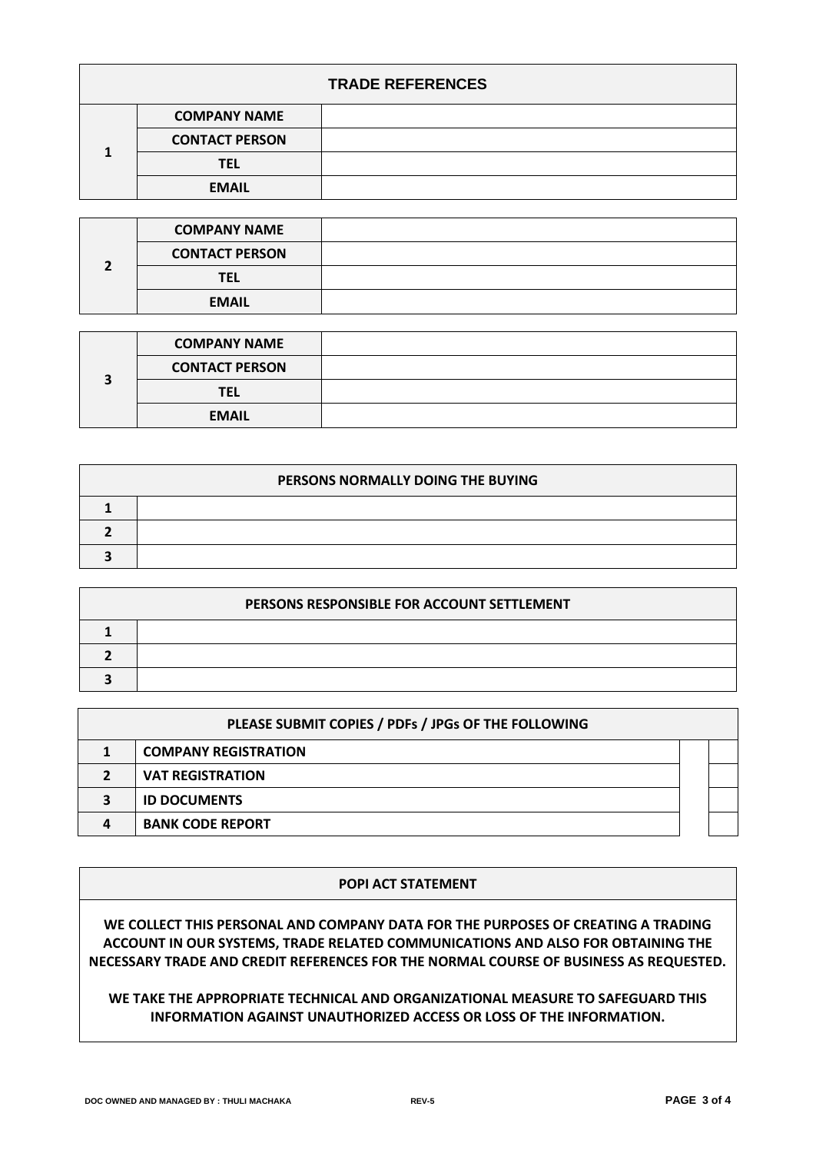| <b>TRADE REFERENCES</b> |                       |  |
|-------------------------|-----------------------|--|
|                         | <b>COMPANY NAME</b>   |  |
|                         | <b>CONTACT PERSON</b> |  |
|                         | TEL                   |  |
|                         | <b>EMAIL</b>          |  |

|  | <b>COMPANY NAME</b>   |  |
|--|-----------------------|--|
|  | <b>CONTACT PERSON</b> |  |
|  | TEL                   |  |
|  | <b>EMAIL</b>          |  |

|  | <b>COMPANY NAME</b>   |  |
|--|-----------------------|--|
|  | <b>CONTACT PERSON</b> |  |
|  | TEL                   |  |
|  | <b>EMAIL</b>          |  |

| PERSONS NORMALLY DOING THE BUYING |  |  |
|-----------------------------------|--|--|
|                                   |  |  |
|                                   |  |  |
|                                   |  |  |

| PERSONS RESPONSIBLE FOR ACCOUNT SETTLEMENT |  |  |
|--------------------------------------------|--|--|
|                                            |  |  |
|                                            |  |  |
|                                            |  |  |

| PLEASE SUBMIT COPIES / PDFs / JPGs OF THE FOLLOWING |                             |  |  |
|-----------------------------------------------------|-----------------------------|--|--|
|                                                     | <b>COMPANY REGISTRATION</b> |  |  |
|                                                     | <b>VAT REGISTRATION</b>     |  |  |
|                                                     | <b>ID DOCUMENTS</b>         |  |  |
|                                                     | <b>BANK CODE REPORT</b>     |  |  |

## **POPI ACT STATEMENT**

**WE COLLECT THIS PERSONAL AND COMPANY DATA FOR THE PURPOSES OF CREATING A TRADING ACCOUNT IN OUR SYSTEMS, TRADE RELATED COMMUNICATIONS AND ALSO FOR OBTAINING THE NECESSARY TRADE AND CREDIT REFERENCES FOR THE NORMAL COURSE OF BUSINESS AS REQUESTED.**

## **WE TAKE THE APPROPRIATE TECHNICAL AND ORGANIZATIONAL MEASURE TO SAFEGUARD THIS INFORMATION AGAINST UNAUTHORIZED ACCESS OR LOSS OF THE INFORMATION.**